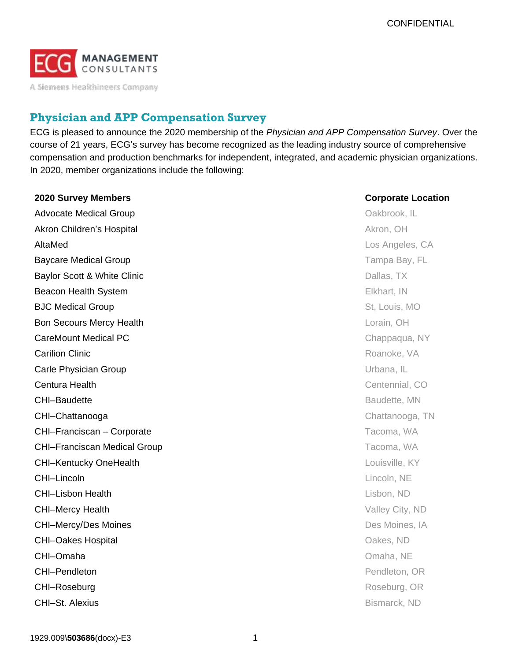

A Siemens Healthineers Company

# **Physician and APP Compensation Survey**

ECG is pleased to announce the 2020 membership of the *Physician and APP Compensation Survey*. Over the course of 21 years, ECG's survey has become recognized as the leading industry source of comprehensive compensation and production benchmarks for independent, integrated, and academic physician organizations. In 2020, member organizations include the following:

| 2020 Survey Members                 | <b>Corporate Location</b> |
|-------------------------------------|---------------------------|
| <b>Advocate Medical Group</b>       | Oakbrook, IL              |
| Akron Children's Hospital           | Akron, OH                 |
| AltaMed                             | Los Angeles, CA           |
| <b>Baycare Medical Group</b>        | Tampa Bay, FL             |
| Baylor Scott & White Clinic         | Dallas, TX                |
| Beacon Health System                | Elkhart, IN               |
| <b>BJC Medical Group</b>            | St, Louis, MO             |
| <b>Bon Secours Mercy Health</b>     | Lorain, OH                |
| <b>CareMount Medical PC</b>         | Chappaqua, NY             |
| <b>Carilion Clinic</b>              | Roanoke, VA               |
| Carle Physician Group               | Urbana, IL                |
| Centura Health                      | Centennial, CO            |
| <b>CHI-Baudette</b>                 | Baudette, MN              |
| CHI-Chattanooga                     | Chattanooga, TN           |
| CHI-Franciscan - Corporate          | Tacoma, WA                |
| <b>CHI-Franciscan Medical Group</b> | Tacoma, WA                |
| <b>CHI-Kentucky OneHealth</b>       | Louisville, KY            |
| CHI-Lincoln                         | Lincoln, NE               |
| <b>CHI-Lisbon Health</b>            | Lisbon, ND                |
| <b>CHI-Mercy Health</b>             | Valley City, ND           |
| <b>CHI-Mercy/Des Moines</b>         | Des Moines, IA            |
| <b>CHI-Oakes Hospital</b>           | Oakes, ND                 |
| CHI-Omaha                           | Omaha, NE                 |
| CHI-Pendleton                       | Pendleton, OR             |
| CHI-Roseburg                        | Roseburg, OR              |
| CHI-St. Alexius                     | Bismarck, ND              |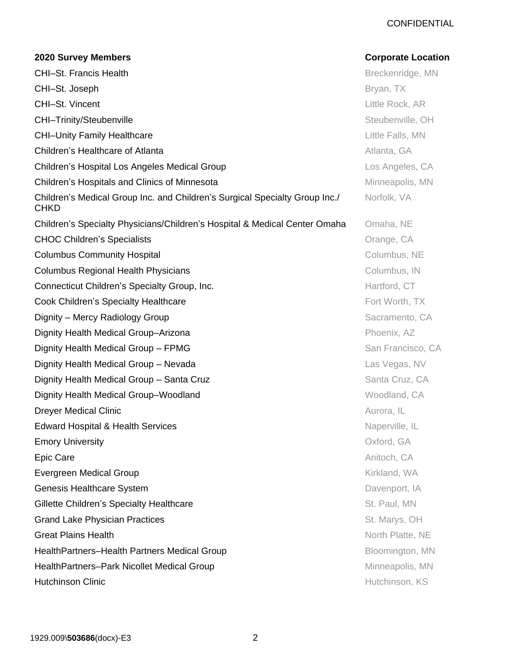### **CONFIDENTIAL**

# **2020 Survey Members Corporate Location** CHI–St. Francis Health Breckenridge, MN **CHI–St. Joseph Bryan, TX CHI–St. Vincent** Little Rock, AR CHI–Trinity/Steubenville Steubenville Steubenville, OH **CHI–Unity Family Healthcare** Little Falls, MN **Children's Healthcare of Atlanta Atlanta Atlanta Atlanta, GA Children's Hospital Los Angeles Medical Group Los Angeles, CA Los Angeles, CA** Children's Hospitals and Clinics of Minnesota **Minneapolis**, MN Children's Medical Group Inc. and Children's Surgical Specialty Group Inc./ CHKD Norfolk, VA Children's Specialty Physicians/Children's Hospital & Medical Center Omaha Omaha, NE **CHOC Children's Specialists CHOC Children's Specialists CHOC Children's Specialists CHOC CHOC CA Columbus Community Hospital Columbus, NE** Columbus Regional Health Physicians **Columbus Regional Health Physicians** Columbus, IN **Connecticut Children's Specialty Group, Inc.** The Connecticut Children's Specialty Group, Inc. The Connecticut CT **Cook Children's Specialty Healthcare Fort Worth, TX Fort Worth, TX** Dignity – Mercy Radiology Group Sacramento, CA Dignity Health Medical Group–Arizona **Phoenix, AZ** Phoenix, AZ Dignity Health Medical Group – FPMG **San Francisco, CA** San Francisco, CA Dignity Health Medical Group – Nevada **Las Vegas, NV** Las Vegas, NV Dignity Health Medical Group – Santa Cruz Santa Cruz, CA Dignity Health Medical Group–Woodland Woodland Woodland, CA **Dreyer Medical Clinic Community Community Community Community Community Community Community Community Community** Edward Hospital & Health Services **Naperville, IL** Annual Services Naperville, IL **Emory University Contract Contract Contract Contract Contract Contract Contract Contract Contract Contract Contract Contract Contract Contract Contract Contract Contract Contract Contract Contract Contract Contract Cont Epic Care** Anitoch, CA **Evergreen Medical Group Community Community Community Community Community Community Community Community Community Community Community Community Community Community Community Community Community Community Community Communi Genesis Healthcare System Community Community Community Community Community Community Community Community Community** Gillette Children's Specialty Healthcare St. Paul, MN Grand Lake Physician Practices **St. Marys, OH** St. Marys, OH Great Plains Health North Platte, NE HealthPartners–Health Partners Medical Group Bloomington, MN HealthPartners-Park Nicollet Medical Group **Minneapolis**, MN **Hutchinson Clinic Hutchinson, KS**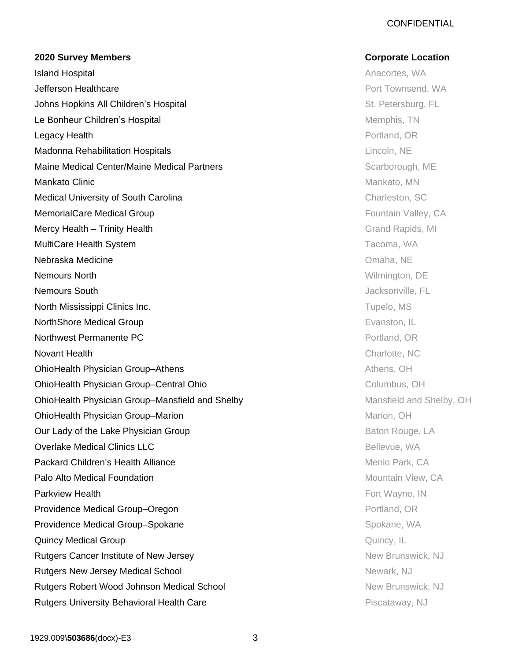### **CONFIDENTIAL**

#### **2020 Survey Members Corporate Location**

**Island Hospital Anacortes, WA Anacortes, WA Anacortes, WA Anacortes, WA Anacortes, WA Anacortes, WA Anacortes, WA Anacortes, WA Anacortes, WA Anacortes, WA Anacortes, WA Anacortes, WA Anacortes, WA Anacortes, WA Anacortes Jefferson Healthcare Properties and American Control Townsend, WA American Control Townsend, WA Johns Hopkins All Children's Hospital St. Petersburg, FL All All Children's Hospital St. Petersburg, FL All Al** Le Bonheur Children's Hospital Memphis, TN **Legacy Health** Portland, OR Madonna Rehabilitation Hospitals Lincoln, NE **Maine Medical Center/Maine Medical Partners** Maint Character Medical Partners Scarborough, ME **Mankato Clinic** Mankato, MN Medical University of South Carolina Charleston, SC Charleston, SC **MemorialCare Medical Group Care According to the CATE CATE According To The CATE CATE According To The CATE According To The CATE According To The CATE According To The CATE According To The CATE According To The CATE Acc** Mercy Health – Trinity Health Grand Rapids, MI and Rapids, MI and Rapids, MI and Rapids, MI MultiCare Health System Tacoma, WA Nebraska Medicine Omaha, NE Nemours North Wilmington, DE **Nemours South International Access of the Contract of Contract Access of Access of Access of Access of Access of Access of Access of Access of Access of Access of Access of Access of Access of Access of Access of Access o** North Mississippi Clinics Inc. The Contract of the Contract of Tupelo, MS Tupelo, MS **NorthShore Medical Group Evanston, IL NorthShore Medical Group Northwest Permanente PC** Portland, OR **Novant Health** Charlotte, NC **OhioHealth Physician Group–Athens Athens Athens, OH** Athens, OH **OhioHealth Physician Group–Central Ohio** Columbus, OH Columbus, OH **OhioHealth Physician Group–Mansfield and Shelby Mansfield and Shelby, OH OhioHealth Physician Group–Marion Marion Marion, OH** Marion, OH Our Lady of the Lake Physician Group Baton Rouge, LA **Overlake Medical Clinics LLC** Bellevue, WA Packard Children's Health Alliance **Menlo Park, CA Palo Alto Medical Foundation Mountain View, CA Parkview Health Fort Wayne, IN** Providence Medical Group–Oregon **Providence Medical Group–Oregon** Portland, OR Providence Medical Group–Spokane Spokane Spokane, WA **Quincy Medical Group Community Community Community Community Community Community Community Community Community Rutgers Cancer Institute of New Jersey New Brunswick, NJ New Brunswick, NJ** Rutgers New Jersey Medical School Newark, NJ Rutgers Robert Wood Johnson Medical School New Brunswick, NJ **Rutgers University Behavioral Health Care Property Australian Property Piscataway, NJ**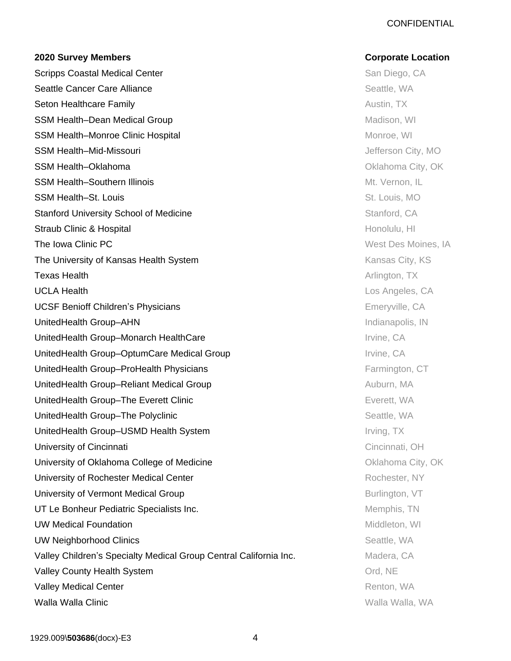### **CONFIDENTIAL**

#### **2020 Survey Members Corporate Location**

Scripps Coastal Medical Center San Diego, CA Seattle Cancer Care Alliance **Seattle, WA Seattle, WA Seattle, WA Seattle, WA Seton Healthcare Family Austin, TX** Austin, TX SSM Health–Dean Medical Group Madison, WI Nadison, WI Nadison, WI SSM Health–Monroe Clinic Hospital Monroe, WI SSM Health–Mid-Missouri **SSM Health–Mid-Missouri** Jefferson City, MO SSM Health–Oklahoma **City, Oklahoma** City, Oklahoma City, Oklahoma City, Oklahoma City, Oklahoma City, Oklahoma City, Oklahoma City, Oklahoma City, Oklahoma City, Oklahoma City, Oklahoma City, Oklahoma City, Oklahoma City, SSM Health–Southern Illinois Music Communication of the Mt. Vernon, IL SSM Health–St. Louis **SSM Health St. Louis** St. Louis, MO **Stanford University School of Medicine Stanford, CA Stanford, CA Stanford, CA Stanford, CA** Straub Clinic & Hospital **Honolulu, HI** Annual Honolulu, HI Annual Honolulu, HI Annual Honolulu, HI The Iowa Clinic PC **The Iowa Clinic PC CONSTRANTIAL CONSTRANTIAL CONSTRANTIAL CONSTRANTIAL CONSTRANTIAL CONSTRANTIAL CONSTRANTIAL CONSTRANTIAL CONSTRANTIAL CONSTRANTIAL CONSTRANTIAL CONSTRANTIAL CONSTRANTIAL CONSTRANTIAL The University of Kansas Health System Statem Accord Control Control Control City, KS** Texas Health Arlington, TX UCLA Health Los Angeles, CA UCSF Benioff Children's Physicians **Emeryville, CA** UnitedHealth Group–AHN **Indianapolis, IN** UnitedHealth Group–Monarch HealthCare **Internal and Accord Traveller** Irvine, CA UnitedHealth Group–OptumCare Medical Group Irvine, CA UnitedHealth Group–ProHealth Physicians **Farmington, CT** Farmington, CT UnitedHealth Group–Reliant Medical Group Auburn, MA UnitedHealth Group–The Everett Clinic **Exercise Control Control Control Control Control Control Control Control Control Control Control Control Control Control Control Control Control Control Control Control Control Contro** UnitedHealth Group–The Polyclinic Seattle, WA UnitedHealth Group–USMD Health System Irving, TX University of Cincinnati Cincinnati Cincinnati, OH University of Oklahoma College of Medicine **College Accord Containers** Oklahoma City, OK University of Rochester Medical Center **Rochester, NY Rochester, NY** University of Vermont Medical Group **Burlington**, VT **Burlington**, VT UT Le Bonheur Pediatric Specialists Inc. **Memphis, TN** Memphis, TN UW Medical Foundation **Middleton**, WI **UW Neighborhood Clinics Seattle, WA Seattle, WA Seattle, WA Seattle, WA Seattle, WA Seattle, WA Seattle, WA Seattle, WA Seattle, WA Seattle, WA Seattle, WA Seattle, WA Seattle, WA Seattle, WA Seattle, WA Seattle, WA Sea** Valley Children's Specialty Medical Group Central California Inc. Madera, CA Valley County Health System **Valley County Health System Control** Valley Medical Center **Renton, WA Calley Medical Center** Renton, WA Walla Walla Clinic Walla Walla, WA